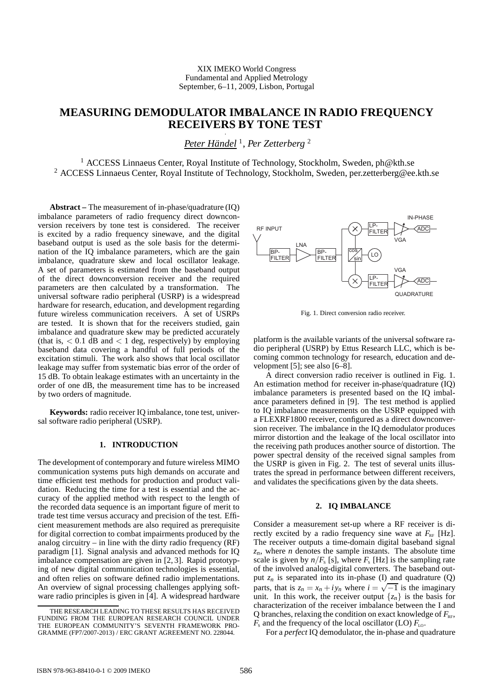# **MEASURING DEMODULATOR IMBALANCE IN RADIO FREQUENCY RECEIVERS BY TONE TEST**

*Peter Händel* <sup>1</sup> , *Per Zetterberg* <sup>2</sup>

<sup>1</sup> ACCESS Linnaeus Center, Royal Institute of Technology, Stockholm, Sweden, ph@kth.se <sup>2</sup> ACCESS Linnaeus Center, Royal Institute of Technology, Stockholm, Sweden, per.zetterberg@ee.kth.se

**Abstract –** The measurement of in-phase/quadrature (IQ) imbalance parameters of radio frequency direct downconversion receivers by tone test is considered. The receiver is excited by a radio frequency sinewave, and the digital baseband output is used as the sole basis for the determination of the IQ imbalance parameters, which are the gain imbalance, quadrature skew and local oscillator leakage. A set of parameters is estimated from the baseband output of the direct downconversion receiver and the required parameters are then calculated by a transformation. The universal software radio peripheral (USRP) is a widespread hardware for research, education, and development regarding future wireless communication receivers. A set of USRPs are tested. It is shown that for the receivers studied, gain imbalance and quadrature skew may be predicted accurately (that is,  $\langle 0.1 \text{ dB} \text{ and } \langle 1 \text{ deg} \rangle$ , respectively) by employing baseband data covering a handful of full periods of the excitation stimuli. The work also shows that local oscillator leakage may suffer from systematic bias error of the order of 15 dB. To obtain leakage estimates with an uncertainty in the order of one dB, the measurement time has to be increased by two orders of magnitude.

**Keywords:** radio receiver IQ imbalance, tone test, universal software radio peripheral (USRP).

## **1. INTRODUCTION**

The development of contemporary and future wireless MIMO communication systems puts high demands on accurate and time efficient test methods for production and product validation. Reducing the time for a test is essential and the accuracy of the applied method with respect to the length of the recorded data sequence is an important figure of merit to trade test time versus accuracy and precision of the test. Efficient measurement methods are also required as prerequisite for digital correction to combat impairments produced by the analog circuitry – in line with the dirty radio frequency (RF) paradigm [1]. Signal analysis and advanced methods for IQ imbalance compensation are given in [2, 3]. Rapid prototyping of new digital communication technologies is essential, and often relies on software defined radio implementations. An overview of signal processing challenges applying software radio principles is given in [4]. A widespread hardware



Fig. 1. Direct conversion radio receiver.

platform is the available variants of the universal software radio peripheral (USRP) by Ettus Research LLC, which is becoming common technology for research, education and development [5]; see also [6–8].

A direct conversion radio receiver is outlined in Fig. 1. An estimation method for receiver in-phase/quadrature (IQ) imbalance parameters is presented based on the IQ imbalance parameters defined in [9]. The test method is applied to IQ imbalance measurements on the USRP equipped with a FLEXRF1800 receiver, configured as a direct downconversion receiver. The imbalance in the IQ demodulator produces mirror distortion and the leakage of the local oscillator into the receiving path produces another source of distortion. The power spectral density of the received signal samples from the USRP is given in Fig. 2. The test of several units illustrates the spread in performance between different receivers, and validates the specifications given by the data sheets.

### **2. IQ IMBALANCE**

Consider a measurement set-up where a RF receiver is directly excited by a radio frequency sine wave at  $F_{\text{PE}}$  [Hz]. The receiver outputs a time-domain digital baseband signal  $z_n$ , where *n* denotes the sample instants. The absolute time scale is given by  $n/F_s$  [s], where  $F_s$  [Hz] is the sampling rate of the involved analog-digital converters. The baseband output  $z_n$  is separated into its in-phase (I) and quadrature (Q) parts, that is  $z_n = x_n + iy_n$  where  $i = \sqrt{-1}$  is the imaginary unit. In this work, the receiver output  $\{z_n\}$  is the basis for characterization of the receiver imbalance between the I and Q branches, relaxing the condition on exact knowledge of  $F_{\text{RF}}$ ,  $F_s$  and the frequency of the local oscillator (LO)  $F_{L_0}$ .

For a *perfect* IQ demodulator, the in-phase and quadrature

THE RESEARCH LEADING TO THESE RESULTS HAS RECEIVED FUNDING FROM THE EUROPEAN RESEARCH COUNCIL UNDER THE EUROPEAN COMMUNITY'S SEVENTH FRAMEWORK PRO-GRAMME (FP7/2007-2013) / ERC GRANT AGREEMENT NO. 228044.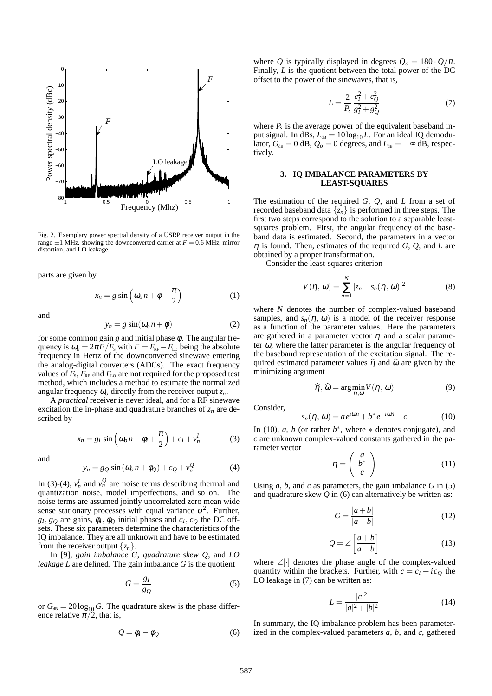

Fig. 2. Exemplary power spectral density of a USRP receiver output in the range  $\pm 1$  MHz, showing the downconverted carrier at  $F = 0.6$  MHz, mirror distortion, and LO leakage.

parts are given by

$$
x_n = g \sin \left( \omega_o n + \phi + \frac{\pi}{2} \right) \tag{1}
$$

and

$$
y_n = g \sin(\omega_0 n + \phi) \tag{2}
$$

for some common gain  $g$  and initial phase  $\phi$ . The angular frequency is  $\omega_o = 2\pi F/F_s$  with  $F = F_{RF} - F_{L0}$  being the absolute frequency in Hertz of the downconverted sinewave entering the analog-digital converters (ADCs). The exact frequency values of  $F_s$ ,  $F_{RF}$  and  $F_{L0}$  are not required for the proposed test method, which includes a method to estimate the normalized angular frequency <sup>ω</sup>*<sup>o</sup>* directly from the receiver output *zn*.

A *practical* receiver is never ideal, and for a RF sinewave excitation the in-phase and quadrature branches of *z<sup>n</sup>* are described by

$$
x_n = g_I \sin \left( \omega_0 n + \phi_I + \frac{\pi}{2} \right) + c_I + v_n^I \tag{3}
$$

and

$$
y_n = g_Q \sin(\omega_0 n + \phi_Q) + c_Q + v_n^Q \tag{4}
$$

In (3)-(4),  $v_n^I$  and  $v_n^Q$  are noise terms describing thermal and quantization noise, model imperfections, and so on. The noise terms are assumed jointly uncorrelated zero mean wide sense stationary processes with equal variance  $\sigma^2$ . Further,  $g_I, g_Q$  are gains,  $\phi_I, \phi_Q$  initial phases and  $c_I, c_Q$  the DC offsets. These six parameters determine the characteristics of the IQ imbalance. They are all unknown and have to be estimated from the receiver output  $\{z_n\}$ .

In [9], *gain imbalance G*, *quadrature skew Q*, and *LO leakage L* are defined. The gain imbalance *G* is the quotient

$$
G = \frac{g_I}{g_Q} \tag{5}
$$

or  $G_{dB} = 20 \log_{10} G$ . The quadrature skew is the phase difference relative  $\pi/2$ , that is,

$$
Q = \phi_I - \phi_Q \tag{6}
$$

where *Q* is typically displayed in degrees  $Q_0 = 180 \cdot Q/\pi$ . Finally, *L* is the quotient between the total power of the DC offset to the power of the sinewaves, that is,

$$
L = \frac{2}{P_s} \frac{c_I^2 + c_Q^2}{g_I^2 + g_Q^2} \tag{7}
$$

where  $P_s$  is the average power of the equivalent baseband input signal. In dBs,  $L_{dB} = 10 \log_{10} L$ . For an ideal IQ demodulator,  $G_{dB} = 0$  dB,  $Q_o = 0$  degrees, and  $L_{dB} = -\infty$  dB, respectively.

#### **3. IQ IMBALANCE PARAMETERS BY LEAST-SQUARES**

The estimation of the required *G*, *Q*, and *L* from a set of recorded baseband data  $\{z_n\}$  is performed in three steps. The first two steps correspond to the solution to a separable leastsquares problem. First, the angular frequency of the baseband data is estimated. Second, the parameters in a vector η is found. Then, estimates of the required *G*, *Q*, and *L* are obtained by a proper transformation.

Consider the least-squares criterion

$$
V(\eta, \omega) = \sum_{n=1}^{N} |z_n - s_n(\eta, \omega)|^2
$$
 (8)

where *N* denotes the number of complex-valued baseband samples, and  $s_n(\eta, \omega)$  is a model of the receiver response as a function of the parameter values. Here the parameters are gathered in a parameter vector  $\eta$  and a scalar parameter  $\omega$ , where the latter parameter is the angular frequency of the baseband representation of the excitation signal. The required estimated parameter values  $\hat{\eta}$  and  $\hat{\omega}$  are given by the minimizing argument

$$
\widehat{\eta}, \widehat{\omega} = \arg\min_{\eta, \omega} V(\eta, \omega) \tag{9}
$$

Consider,

$$
s_n(\eta, \omega) = a e^{i\omega n} + b^* e^{-i\omega n} + c \tag{10}
$$

In (10),  $a, b$  (or rather  $b^*$ , where  $*$  denotes conjugate), and *c* are unknown complex-valued constants gathered in the parameter vector

$$
\eta = \left(\begin{array}{c} a \\ b^* \\ c \end{array}\right) \tag{11}
$$

Using *a*, *b*, and *c* as parameters, the gain imbalance *G* in (5) and quadrature skew *Q* in (6) can alternatively be written as:

$$
G = \frac{|a+b|}{|a-b|} \tag{12}
$$

$$
Q = \angle \left[ \frac{a+b}{a-b} \right] \tag{13}
$$

where <sup>∠</sup>[·] denotes the phase angle of the complex-valued quantity within the brackets. Further, with  $c = c_I + ic_O$  the LO leakage in  $(7)$  can be written as:

$$
L = \frac{|c|^2}{|a|^2 + |b|^2} \tag{14}
$$

In summary, the IQ imbalance problem has been parameterized in the complex-valued parameters *a*, *b*, and *c*, gathered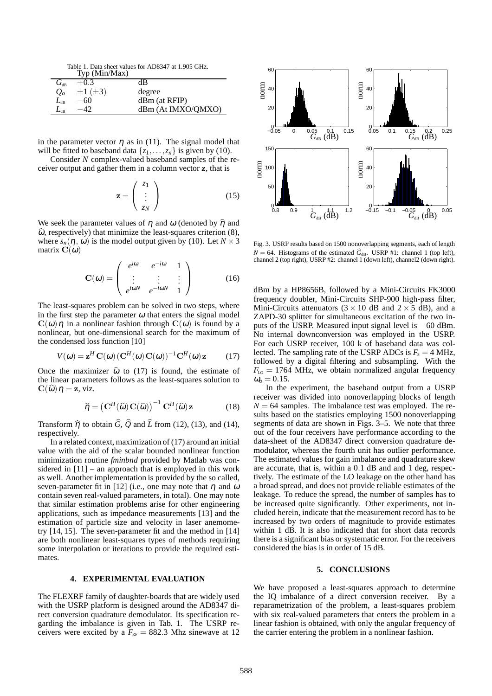Table 1. Data sheet values for AD8347 at 1.905 GHz.

|                                       | Typ (Min/Max)       |                    |
|---------------------------------------|---------------------|--------------------|
| $G_{\scriptscriptstyle{\mathrm{dR}}}$ | $+0.3$              | dВ                 |
| $Q_o$                                 | $\pm 1$ ( $\pm 3$ ) | degree             |
| $L_{\scriptscriptstyle\rm dB}$        | $-60$               | dBm (at RFIP)      |
| $L_{\rm dR}$                          |                     | dBm (At IMXO/QMXO) |

in the parameter vector  $\eta$  as in (11). The signal model that will be fitted to baseband data  $\{z_1, \ldots, z_n\}$  is given by (10).

Consider *N* complex-valued baseband samples of the receiver output and gather them in a column vector z, that is

$$
\mathbf{z} = \begin{pmatrix} z_1 \\ \vdots \\ z_N \end{pmatrix} \tag{15}
$$

We seek the parameter values of  $\eta$  and  $\omega$  (denoted by  $\hat{\eta}$  and  $\hat{\omega}$ , respectively) that minimize the least-squares criterion (8), where  $s_n(\eta, \omega)$  is the model output given by (10). Let  $N \times 3$ matrix  $\mathbf{C}(\omega)$ 

$$
\mathbf{C}(\omega) = \begin{pmatrix} e^{i\omega} & e^{-i\omega} & 1 \\ \vdots & \vdots & \vdots \\ e^{i\omega N} & e^{-i\omega N} & 1 \end{pmatrix}
$$
 (16)

The least-squares problem can be solved in two steps, where in the first step the parameter  $\omega$  that enters the signal model  $C(\omega)\eta$  in a nonlinear fashion through  $C(\omega)$  is found by a nonlinear, but one-dimensional search for the maximum of the condensed loss function [10]

$$
V(\omega) = \mathbf{z}^H \mathbf{C}(\omega) (\mathbf{C}^H(\omega) \mathbf{C}(\omega))^{-1} \mathbf{C}^H(\omega) \mathbf{z}
$$
 (17)

Once the maximizer  $\hat{\omega}$  to (17) is found, the estimate of the linear parameters follows as the least-squares solution to  $\mathbf{C}(\widehat{\omega})\eta = \mathbf{z}$ , viz.

$$
\widehat{\boldsymbol{\eta}} = \left(\mathbf{C}^H(\widehat{\boldsymbol{\omega}})\,\mathbf{C}(\widehat{\boldsymbol{\omega}})\right)^{-1}\,\mathbf{C}^H(\widehat{\boldsymbol{\omega}})\,\mathbf{z} \tag{18}
$$

Transform  $\hat{\eta}$  to obtain  $\hat{G}$ ,  $\hat{Q}$  and  $\hat{L}$  from (12), (13), and (14), respectively.

In a related context, maximization of (17) around an initial value with the aid of the scalar bounded nonlinear function minimization routine *fminbnd* provided by Matlab was considered in [11] – an approach that is employed in this work as well. Another implementation is provided by the so called, seven-parameter fit in [12] (i.e., one may note that  $\eta$  and  $\omega$ contain seven real-valued parameters, in total). One may note that similar estimation problems arise for other engineering applications, such as impedance measurements [13] and the estimation of particle size and velocity in laser anemometry [14, 15]. The seven-parameter fit and the method in [14] are both nonlinear least-squares types of methods requiring some interpolation or iterations to provide the required estimates.

#### **4. EXPERIMENTAL EVALUATION**

The FLEXRF family of daughter-boards that are widely used with the USRP platform is designed around the AD8347 direct conversion quadrature demodulator. Its specification regarding the imbalance is given in Tab. 1. The USRP receivers were excited by a  $\overline{F}_{RF} = 882.3$  Mhz sinewave at 12



Fig. 3. USRP results based on 1500 nonoverlapping segments, each of length  $N = 64$ . Histograms of the estimated  $\hat{G}_{dB}$ . USRP #1: channel 1 (top left), channel 2 (top right), USRP #2: channel 1 (down left), channel2 (down right).

dBm by a HP8656B, followed by a Mini-Circuits FK3000 frequency doubler, Mini-Circuits SHP-900 high-pass filter, Mini-Circuits attenuators  $(3 \times 10$  dB and  $2 \times 5$  dB), and a ZAPD-30 splitter for simultaneous excitation of the two inputs of the USRP. Measured input signal level is −60 dBm. No internal downconversion was employed in the USRP. For each USRP receiver, 100 k of baseband data was collected. The sampling rate of the USRP ADCs is  $F_s = 4$  MHz, followed by a digital filtering and subsampling. With the  $F_{\text{LO}} = 1764 \text{ MHz}$ , we obtain normalized angular frequency  $\omega_{o} = 0.15$ .

In the experiment, the baseband output from a USRP receiver was divided into nonoverlapping blocks of length  $N = 64$  samples. The imbalance test was employed. The results based on the statistics employing 1500 nonoverlapping segments of data are shown in Figs. 3–5. We note that three out of the four receivers have performance according to the data-sheet of the AD8347 direct conversion quadrature demodulator, whereas the fourth unit has outlier performance. The estimated values for gain imbalance and quadrature skew are accurate, that is, within a 0.1 dB and and 1 deg, respectively. The estimate of the LO leakage on the other hand has a broad spread, and does not provide reliable estimates of the leakage. To reduce the spread, the number of samples has to be increased quite significantly. Other experiments, not included herein, indicate that the measurement record has to be increased by two orders of magnitude to provide estimates within 1 dB. It is also indicated that for short data records there is a significant bias or systematic error. For the receivers considered the bias is in order of 15 dB.

#### **5. CONCLUSIONS**

We have proposed a least-squares approach to determine the IQ imbalance of a direct conversion receiver. By a reparametrization of the problem, a least-squares problem with six real-valued parameters that enters the problem in a linear fashion is obtained, with only the angular frequency of the carrier entering the problem in a nonlinear fashion.